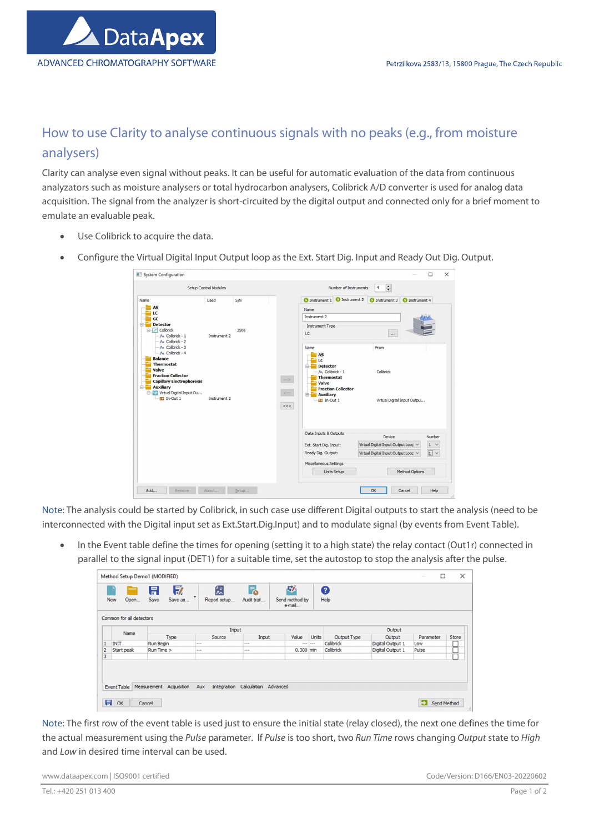

## How to use Clarity to analyse continuous signals with no peaks (e.g., from moisture analysers)

Clarity can analyse even signal without peaks. It can be useful for automatic evaluation of the data from continuous analyzators such as moisture analysers or total hydrocarbon analysers, Colibrick A/D converter is used for analog data acquisition. The signal from the analyzer is short-circuited by the digital output and connected only for a brief moment to emulate an evaluable peak.

- Use Colibrick to acquire the data.
- Configure the Virtual Digital Input Output loop as the Ext. Start Dig. Input and Ready Out Dig. Output.

|                                                           | Setup Control Modules |      |                   |                            | Number of Instruments:    | $\frac{1}{\tau}$<br>$\overline{4}$  |                       |                    |
|-----------------------------------------------------------|-----------------------|------|-------------------|----------------------------|---------------------------|-------------------------------------|-----------------------|--------------------|
| Name                                                      | Used                  | S/N  |                   | <b>O</b> Instrument 1      | <b>O</b> Instrument 2     | <b>O</b> Instrument 3               | <b>O</b> Instrument 4 |                    |
| <b>AS</b><br>LC                                           |                       |      |                   | Name                       |                           |                                     |                       |                    |
| GC                                                        |                       |      |                   | Instrument 2               |                           |                                     |                       |                    |
| <b>Detector</b><br>8-                                     |                       |      |                   | Instrument Type            |                           |                                     |                       |                    |
| <b>B-</b> Colibrick<br>- A Colibrick - 1                  | Instrument 2          | 3508 |                   | LC                         |                           | $\cdots$                            |                       |                    |
| - A Colibrick - 2                                         |                       |      |                   |                            |                           |                                     |                       |                    |
| - M Colibrick - 3<br>- A Colibrick - 4                    |                       |      |                   | Name                       |                           | From                                |                       |                    |
| <b>Balance</b>                                            |                       |      |                   | <b>AS</b><br>LC            |                           |                                     |                       |                    |
| <b>Thermostat</b>                                         |                       |      |                   | <b>Detector</b><br>84      |                           |                                     |                       |                    |
| Valve<br><b>Fraction Collector</b>                        |                       |      |                   | $-M$ Colibrick - 1         |                           | Colibrick                           |                       |                    |
| <b>Capillary Electrophoresis</b>                          |                       |      | $\longrightarrow$ | <b>Thermostat</b><br>Valve |                           |                                     |                       |                    |
| Auxiliary<br>e <del>El</del>                              |                       |      |                   |                            | <b>Fraction Collector</b> |                                     |                       |                    |
| <b>B-B</b> Virtual Digital Input Ou<br><b>ED</b> In-Out 1 | Instrument 2          |      | $\prec \cdots$    | Auxiliary<br>Ed In-Out 1   |                           | Virtual Digital Input Outpu         |                       |                    |
|                                                           |                       |      | $<<$              |                            |                           |                                     |                       |                    |
|                                                           |                       |      |                   |                            |                           |                                     |                       |                    |
|                                                           |                       |      |                   | Data Inputs & Outputs      |                           |                                     |                       |                    |
|                                                           |                       |      |                   |                            |                           | Device                              |                       | Number             |
|                                                           |                       |      |                   | Ext. Start Dig. Input:     |                           | Virtual Digital Input Output Loop V |                       | $1 \vee$           |
|                                                           |                       |      |                   | Ready Dig. Output:         |                           | Virtual Digital Input Output Loop V |                       | $\boxed{1}$ $\vee$ |
|                                                           |                       |      |                   | Miscellaneous Settings     |                           |                                     |                       |                    |
|                                                           |                       |      |                   | Units Setup                |                           |                                     | Method Options        |                    |
|                                                           |                       |      |                   |                            |                           |                                     |                       |                    |

Note: The analysis could be started by Colibrick, in such case use different Digital outputs to start the analysis (need to be interconnected with the Digital input set as Ext.Start.Dig.Input) and to modulate signal (by events from Event Table).

In the Event table define the times for opening (setting it to a high state) the relay contact (Out1r) connected in parallel to the signal input (DET1) for a suitable time, set the autostop to stop the analysis after the pulse.

| Common for all detectors<br>Input<br>Output                                                                        |           |       |  |
|--------------------------------------------------------------------------------------------------------------------|-----------|-------|--|
| Name<br>Output Type<br>Value<br><b>Units</b><br>Type<br>Source<br>Output<br>Input                                  | Parameter | Store |  |
| Colibrick<br>Digital Output 1<br><b>INIT</b><br>Run Begin<br>1<br>$\cdots$<br>$\sim$                               | Low       |       |  |
| Colibrick<br>Digital Output 1<br>$\overline{2}$<br>$0.300$ min<br>Start peak<br>Run Time ><br>---<br>$\cdots$<br>3 | Pulse     |       |  |

Note: The first row of the event table is used just to ensure the initial state (relay closed), the next one defines the time for the actual measurement using the Pulse parameter. If Pulse is too short, two Run Time rows changing Output state to High and Low in desired time interval can be used.

www.dataapex.com | ISO9001 certified Code/Version: D166/EN03-20220602